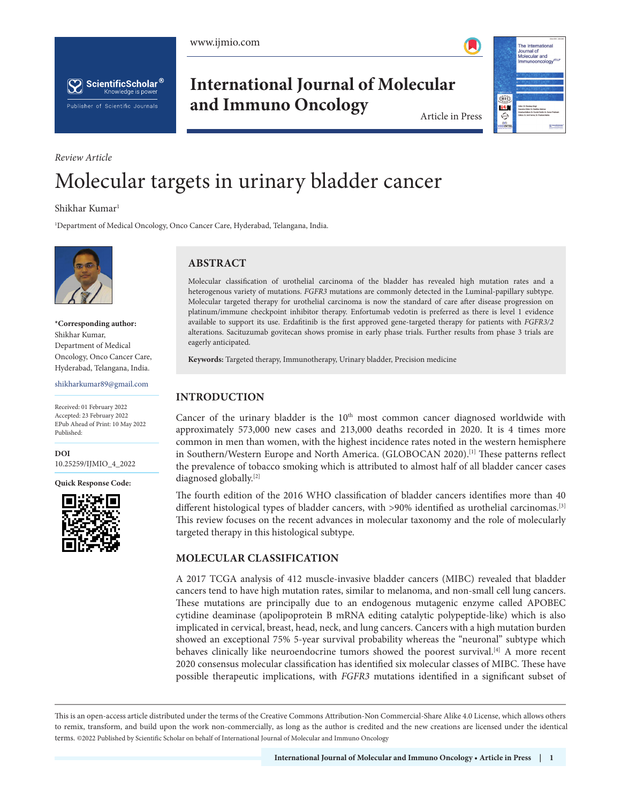





**International Journal of Molecular and Immuno Oncology** Article in Press



# *Review Article* Molecular targets in urinary bladder cancer

Shikhar Kumar<sup>1</sup>

1 Department of Medical Oncology, Onco Cancer Care, Hyderabad, Telangana, India.



**\*Corresponding author:** Shikhar Kumar, Department of Medical Oncology, Onco Cancer Care, Hyderabad, Telangana, India.

shikharkumar89@gmail.com

Received: 01 February 2022 Accepted: 23 February 2022 EPub Ahead of Print: 10 May 2022 Published:

**DOI**

[10.25259/IJMIO\\_4\\_2022](https://dx.doi.org/10.25259/IJMIO_4_2022)

**Quick Response Code:**



# **ABSTRACT**

Molecular classification of urothelial carcinoma of the bladder has revealed high mutation rates and a heterogenous variety of mutations. *FGFR3* mutations are commonly detected in the Luminal-papillary subtype. Molecular targeted therapy for urothelial carcinoma is now the standard of care after disease progression on platinum/immune checkpoint inhibitor therapy. Enfortumab vedotin is preferred as there is level 1 evidence available to support its use. Erdafitinib is the first approved gene-targeted therapy for patients with *FGFR3/2* alterations. Sacituzumab govitecan shows promise in early phase trials. Further results from phase 3 trials are eagerly anticipated.

**Keywords:** Targeted therapy, Immunotherapy, Urinary bladder, Precision medicine

# **INTRODUCTION**

Cancer of the urinary bladder is the  $10<sup>th</sup>$  most common cancer diagnosed worldwide with approximately 573,000 new cases and 213,000 deaths recorded in 2020. It is 4 times more common in men than women, with the highest incidence rates noted in the western hemisphere in Southern/Western Europe and North America. (GLOBOCAN 2020).[1] These patterns reflect the prevalence of tobacco smoking which is attributed to almost half of all bladder cancer cases diagnosed globally.[2]

The fourth edition of the 2016 WHO classification of bladder cancers identifies more than 40 different histological types of bladder cancers, with >90% identified as urothelial carcinomas.<sup>[3]</sup> This review focuses on the recent advances in molecular taxonomy and the role of molecularly targeted therapy in this histological subtype.

## **MOLECULAR CLASSIFICATION**

A 2017 TCGA analysis of 412 muscle-invasive bladder cancers (MIBC) revealed that bladder cancers tend to have high mutation rates, similar to melanoma, and non-small cell lung cancers. These mutations are principally due to an endogenous mutagenic enzyme called APOBEC cytidine deaminase (apolipoprotein B mRNA editing catalytic polypeptide-like) which is also implicated in cervical, breast, head, neck, and lung cancers. Cancers with a high mutation burden showed an exceptional 75% 5-year survival probability whereas the "neuronal" subtype which behaves clinically like neuroendocrine tumors showed the poorest survival.[4] A more recent 2020 consensus molecular classification has identified six molecular classes of MIBC. These have possible therapeutic implications, with *FGFR3* mutations identified in a significant subset of

is is an open-access article distributed under the terms of the Creative Commons Attribution-Non Commercial-Share Alike 4.0 License, which allows others to remix, transform, and build upon the work non-commercially, as long as the author is credited and the new creations are licensed under the identical terms. ©2022 Published by Scientific Scholar on behalf of International Journal of Molecular and Immuno Oncology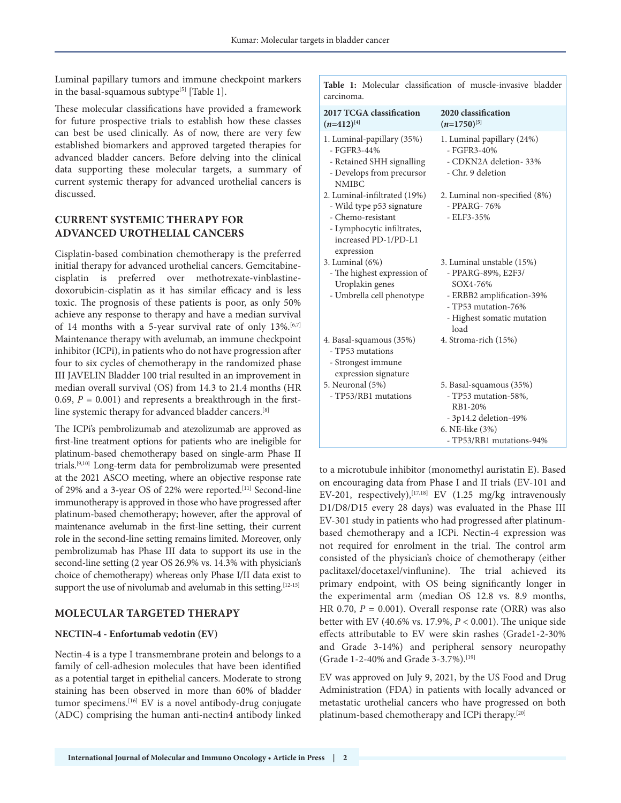Luminal papillary tumors and immune checkpoint markers in the basal-squamous subtype<sup>[5]</sup> [Table 1].

These molecular classifications have provided a framework for future prospective trials to establish how these classes can best be used clinically. As of now, there are very few established biomarkers and approved targeted therapies for advanced bladder cancers. Before delving into the clinical data supporting these molecular targets, a summary of current systemic therapy for advanced urothelial cancers is discussed.

## **CURRENT SYSTEMIC THERAPY FOR ADVANCED UROTHELIAL CANCERS**

Cisplatin-based combination chemotherapy is the preferred initial therapy for advanced urothelial cancers. Gemcitabinecisplatin is preferred over methotrexate-vinblastinedoxorubicin-cisplatin as it has similar efficacy and is less toxic. The prognosis of these patients is poor, as only 50% achieve any response to therapy and have a median survival of 14 months with a 5-year survival rate of only  $13\%$ .<sup>[6,7]</sup> Maintenance therapy with avelumab, an immune checkpoint inhibitor (ICPi), in patients who do not have progression after four to six cycles of chemotherapy in the randomized phase III JAVELIN Bladder 100 trial resulted in an improvement in median overall survival (OS) from 14.3 to 21.4 months (HR 0.69,  $P = 0.001$ ) and represents a breakthrough in the firstline systemic therapy for advanced bladder cancers.[8]

The ICPi's pembrolizumab and atezolizumab are approved as first-line treatment options for patients who are ineligible for platinum-based chemotherapy based on single-arm Phase II trials.[9,10] Long-term data for pembrolizumab were presented at the 2021 ASCO meeting, where an objective response rate of 29% and a 3-year OS of 22% were reported.<sup>[11]</sup> Second-line immunotherapy is approved in those who have progressed after platinum-based chemotherapy; however, after the approval of maintenance avelumab in the first-line setting, their current role in the second-line setting remains limited. Moreover, only pembrolizumab has Phase III data to support its use in the second-line setting (2 year OS 26.9% vs. 14.3% with physician's choice of chemotherapy) whereas only Phase I/II data exist to support the use of nivolumab and avelumab in this setting.<sup>[12-15]</sup>

## **MOLECULAR TARGETED THERAPY**

#### **NECTIN-4 - Enfortumab vedotin (EV)**

Nectin-4 is a type I transmembrane protein and belongs to a family of cell-adhesion molecules that have been identified as a potential target in epithelial cancers. Moderate to strong staining has been observed in more than 60% of bladder tumor specimens.[16] EV is a novel antibody-drug conjugate (ADC) comprising the human anti-nectin4 antibody linked

|            |  |  | <b>Table 1:</b> Molecular classification of muscle-invasive bladder |  |
|------------|--|--|---------------------------------------------------------------------|--|
| carcinoma. |  |  |                                                                     |  |

| 2017 TCGA classification<br>$(n=412)^{[4]}$                                                                                                        | 2020 classification<br>$(n=1750)^{5}$                                                                                                                 |
|----------------------------------------------------------------------------------------------------------------------------------------------------|-------------------------------------------------------------------------------------------------------------------------------------------------------|
| 1. Luminal-papillary (35%)<br>$-$ FGFR3-44%<br>- Retained SHH signalling<br>- Develops from precursor<br><b>NMIBC</b>                              | 1. Luminal papillary (24%)<br>$-$ FGFR3-40%<br>- CDKN2A deletion-33%<br>- Chr. 9 deletion                                                             |
| 2. Luminal-infiltrated (19%)<br>- Wild type p53 signature<br>- Chemo-resistant<br>- Lymphocytic infiltrates,<br>increased PD-1/PD-L1<br>expression | 2. Luminal non-specified (8%)<br>$-$ PPARG- 76%<br>$-$ ELF3 $-35%$                                                                                    |
| 3. Luminal (6%)<br>- The highest expression of<br>Uroplakin genes<br>- Umbrella cell phenotype                                                     | 3. Luminal unstable (15%)<br>- PPARG-89%, E2F3/<br>SOX4-76%<br>- ERBB2 amplification-39%<br>- TP53 mutation-76%<br>- Highest somatic mutation<br>load |
| 4. Basal-squamous (35%)<br>- TP53 mutations<br>- Strongest immune<br>expression signature                                                          | 4. Stroma-rich (15%)                                                                                                                                  |
| 5. Neuronal (5%)<br>- TP53/RB1 mutations                                                                                                           | 5. Basal-squamous (35%)<br>- TP53 mutation-58%,<br>RB1-20%<br>- 3p14.2 deletion-49%<br>6. NE-like (3%)<br>- TP53/RB1 mutations-94%                    |

to a microtubule inhibitor (monomethyl auristatin E). Based on encouraging data from Phase I and II trials (EV-101 and EV-201, respectively),  $[17,18]$  EV (1.25 mg/kg intravenously D1/D8/D15 every 28 days) was evaluated in the Phase III EV-301 study in patients who had progressed after platinumbased chemotherapy and a ICPi. Nectin-4 expression was not required for enrolment in the trial. The control arm consisted of the physician's choice of chemotherapy (either paclitaxel/docetaxel/vinflunine). The trial achieved its primary endpoint, with OS being significantly longer in the experimental arm (median OS 12.8 vs. 8.9 months, HR 0.70,  $P = 0.001$ ). Overall response rate (ORR) was also better with EV (40.6% vs. 17.9%, *P* < 0.001). The unique side effects attributable to EV were skin rashes (Grade1-2-30% and Grade 3-14%) and peripheral sensory neuropathy (Grade 1-2-40% and Grade 3-3.7%).[19]

EV was approved on July 9, 2021, by the US Food and Drug Administration (FDA) in patients with locally advanced or metastatic urothelial cancers who have progressed on both platinum-based chemotherapy and ICPi therapy.[20]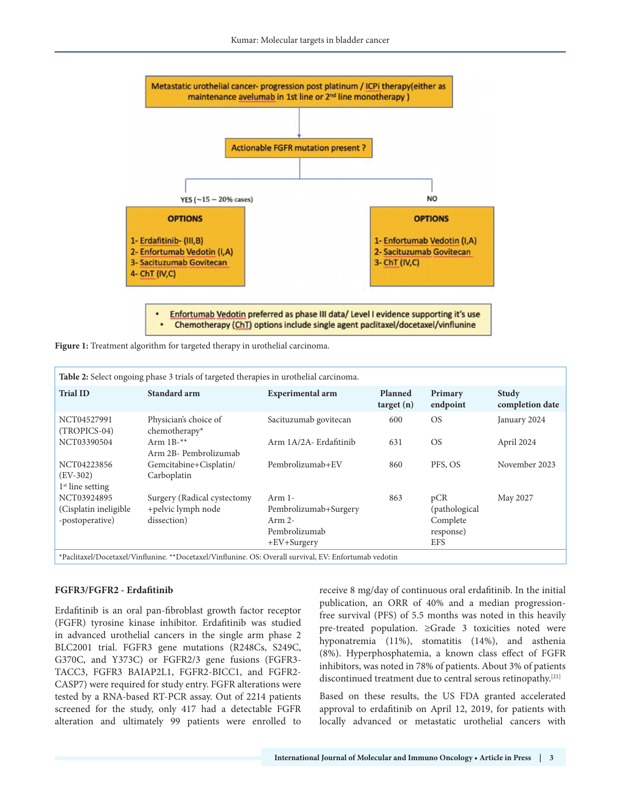

**Figure 1:** Treatment algorithm for targeted therapy in urothelial carcinoma.

| Table 2: Select ongoing phase 3 trials of targeted therapies in urothelial carcinoma.                  |                                                                  |                                                                               |                      |                                                              |                                 |  |  |  |  |
|--------------------------------------------------------------------------------------------------------|------------------------------------------------------------------|-------------------------------------------------------------------------------|----------------------|--------------------------------------------------------------|---------------------------------|--|--|--|--|
| <b>Trial ID</b>                                                                                        | Standard arm                                                     | Experimental arm                                                              | Planned<br>target(n) | Primary<br>endpoint                                          | <b>Study</b><br>completion date |  |  |  |  |
| NCT04527991<br>(TROPICS-04)                                                                            | Physician's choice of<br>chemotherapy*                           | Sacituzumab govitecan                                                         | 600                  | <b>OS</b>                                                    | January 2024                    |  |  |  |  |
| NCT03390504                                                                                            | Arm $1B^{-**}$<br>Arm 2B- Pembrolizumab                          | Arm 1A/2A- Erdafitinib                                                        | 631                  | <b>OS</b>                                                    | April 2024                      |  |  |  |  |
| NCT04223856<br>$(EV-302)$<br>$1st$ line setting                                                        | Gemcitabine+Cisplatin/<br>Carboplatin                            | Pembrolizumab+EV                                                              | 860                  | PFS, OS                                                      | November 2023                   |  |  |  |  |
| NCT03924895<br>(Cisplatin ineligible<br>-postoperative)                                                | Surgery (Radical cystectomy<br>+pelvic lymph node<br>dissection) | $Arm 1-$<br>Pembrolizumab+Surgery<br>$Arm 2-$<br>Pembrolizumab<br>+EV+Surgery | 863                  | pCR<br>(pathological)<br>Complete<br>response)<br><b>EFS</b> | May 2027                        |  |  |  |  |
| *Paclitaxel/Docetaxel/Vinflunine. **Docetaxel/Vinflunine. OS: Overall survival, EV: Enfortumab vedotin |                                                                  |                                                                               |                      |                                                              |                                 |  |  |  |  |

#### **FGFR3/FGFR2 - Erdafitinib**

Erdafitinib is an oral pan-fibroblast growth factor receptor (FGFR) tyrosine kinase inhibitor. Erdafitinib was studied in advanced urothelial cancers in the single arm phase 2 BLC2001 trial. FGFR3 gene mutations (R248Cs, S249C, G370C, and Y373C) or FGFR2/3 gene fusions (FGFR3- TACC3, FGFR3 BAIAP2L1, FGFR2-BICC1, and FGFR2- CASP7) were required for study entry. FGFR alterations were tested by a RNA-based RT-PCR assay. Out of 2214 patients screened for the study, only 417 had a detectable FGFR alteration and ultimately 99 patients were enrolled to receive 8 mg/day of continuous oral erdafitinib. In the initial publication, an ORR of 40% and a median progressionfree survival (PFS) of 5.5 months was noted in this heavily pre-treated population. ≥Grade 3 toxicities noted were hyponatremia (11%), stomatitis (14%), and asthenia (8%). Hyperphosphatemia, a known class effect of FGFR inhibitors, was noted in 78% of patients. About 3% of patients discontinued treatment due to central serous retinopathy.[21]

Based on these results, the US FDA granted accelerated approval to erdafitinib on April 12, 2019, for patients with locally advanced or metastatic urothelial cancers with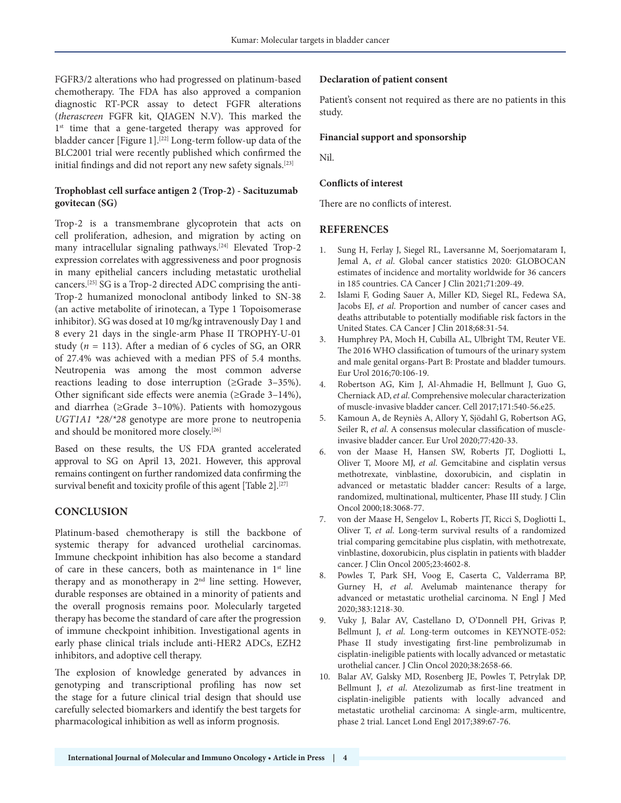FGFR3/2 alterations who had progressed on platinum-based chemotherapy. The FDA has also approved a companion diagnostic RT-PCR assay to detect FGFR alterations (*therascreen* FGFR kit, QIAGEN N.V). This marked the 1<sup>st</sup> time that a gene-targeted therapy was approved for bladder cancer [Figure 1].<sup>[22]</sup> Long-term follow-up data of the BLC2001 trial were recently published which confirmed the initial findings and did not report any new safety signals.<sup>[23]</sup>

## **Trophoblast cell surface antigen 2 (Trop-2) - Sacituzumab govitecan (SG)**

Trop-2 is a transmembrane glycoprotein that acts on cell proliferation, adhesion, and migration by acting on many intracellular signaling pathways.[24] Elevated Trop-2 expression correlates with aggressiveness and poor prognosis in many epithelial cancers including metastatic urothelial cancers.[25] SG is a Trop-2 directed ADC comprising the anti-Trop-2 humanized monoclonal antibody linked to SN-38 (an active metabolite of irinotecan, a Type 1 Topoisomerase inhibitor). SG was dosed at 10 mg/kg intravenously Day 1 and 8 every 21 days in the single-arm Phase II TROPHY-U-01 study (*n* = 113). After a median of 6 cycles of SG, an ORR of 27.4% was achieved with a median PFS of 5.4 months. Neutropenia was among the most common adverse reactions leading to dose interruption (≥Grade 3–35%). Other significant side effects were anemia (≥Grade 3–14%), and diarrhea (≥Grade 3–10%). Patients with homozygous *UGT1A1 \*28/\*28* genotype are more prone to neutropenia and should be monitored more closely.<sup>[26]</sup>

Based on these results, the US FDA granted accelerated approval to SG on April 13, 2021. However, this approval remains contingent on further randomized data confirming the survival benefit and toxicity profile of this agent [Table 2].<sup>[27]</sup>

# **CONCLUSION**

Platinum-based chemotherapy is still the backbone of systemic therapy for advanced urothelial carcinomas. Immune checkpoint inhibition has also become a standard of care in these cancers, both as maintenance in 1<sup>st</sup> line therapy and as monotherapy in 2<sup>nd</sup> line setting. However, durable responses are obtained in a minority of patients and the overall prognosis remains poor. Molecularly targeted therapy has become the standard of care after the progression of immune checkpoint inhibition. Investigational agents in early phase clinical trials include anti-HER2 ADCs, EZH2 inhibitors, and adoptive cell therapy.

The explosion of knowledge generated by advances in genotyping and transcriptional profiling has now set the stage for a future clinical trial design that should use carefully selected biomarkers and identify the best targets for pharmacological inhibition as well as inform prognosis.

## **Declaration of patient consent**

Patient's consent not required as there are no patients in this study.

#### **Financial support and sponsorship**

Nil.

#### **Conflicts of interest**

There are no conflicts of interest.

## **REFERENCES**

- 1. Sung H, Ferlay J, Siegel RL, Laversanne M, Soerjomataram I, Jemal A, *et al*. Global cancer statistics 2020: GLOBOCAN estimates of incidence and mortality worldwide for 36 cancers in 185 countries. CA Cancer J Clin 2021;71:209-49.
- 2. Islami F, Goding Sauer A, Miller KD, Siegel RL, Fedewa SA, Jacobs EJ, *et al*. Proportion and number of cancer cases and deaths attributable to potentially modifiable risk factors in the United States. CA Cancer J Clin 2018;68:31-54.
- 3. Humphrey PA, Moch H, Cubilla AL, Ulbright TM, Reuter VE. The 2016 WHO classification of tumours of the urinary system and male genital organs-Part B: Prostate and bladder tumours. Eur Urol 2016;70:106-19.
- 4. Robertson AG, Kim J, Al-Ahmadie H, Bellmunt J, Guo G, Cherniack AD, *et al*. Comprehensive molecular characterization of muscle-invasive bladder cancer. Cell 2017;171:540-56.e25.
- 5. Kamoun A, de Reyniès A, Allory Y, Sjödahl G, Robertson AG, Seiler R, *et al*. A consensus molecular classification of muscleinvasive bladder cancer. Eur Urol 2020;77:420-33.
- 6. von der Maase H, Hansen SW, Roberts JT, Dogliotti L, Oliver T, Moore MJ, *et al*. Gemcitabine and cisplatin versus methotrexate, vinblastine, doxorubicin, and cisplatin in advanced or metastatic bladder cancer: Results of a large, randomized, multinational, multicenter, Phase III study. J Clin Oncol 2000;18:3068-77.
- 7. von der Maase H, Sengelov L, Roberts JT, Ricci S, Dogliotti L, Oliver T, *et al*. Long-term survival results of a randomized trial comparing gemcitabine plus cisplatin, with methotrexate, vinblastine, doxorubicin, plus cisplatin in patients with bladder cancer. J Clin Oncol 2005;23:4602-8.
- 8. Powles T, Park SH, Voog E, Caserta C, Valderrama BP, Gurney H, *et al*. Avelumab maintenance therapy for advanced or metastatic urothelial carcinoma. N Engl J Med 2020;383:1218-30.
- 9. Vuky J, Balar AV, Castellano D, O'Donnell PH, Grivas P, Bellmunt J, *et al*. Long-term outcomes in KEYNOTE-052: Phase II study investigating first-line pembrolizumab in cisplatin-ineligible patients with locally advanced or metastatic urothelial cancer. J Clin Oncol 2020;38:2658-66.
- 10. Balar AV, Galsky MD, Rosenberg JE, Powles T, Petrylak DP, Bellmunt J, *et al*. Atezolizumab as first-line treatment in cisplatin-ineligible patients with locally advanced and metastatic urothelial carcinoma: A single-arm, multicentre, phase 2 trial. Lancet Lond Engl 2017;389:67-76.